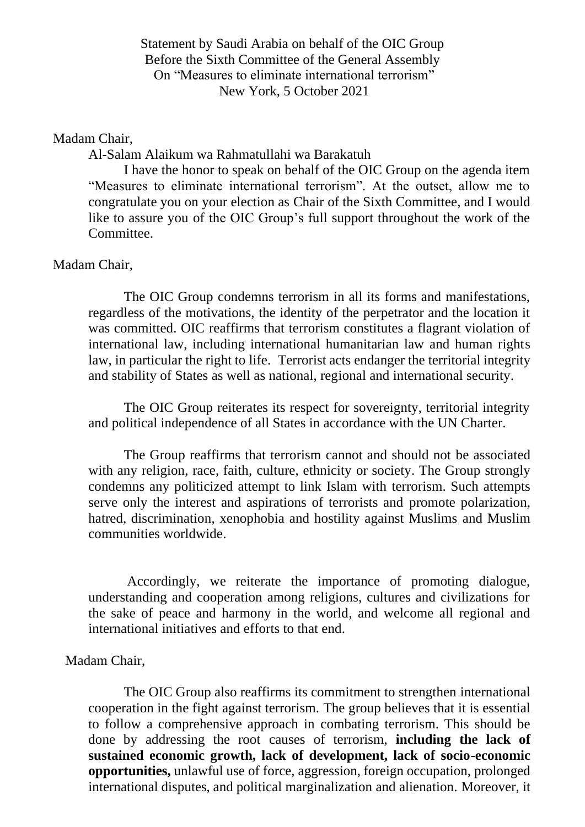Statement by Saudi Arabia on behalf of the OIC Group Before the Sixth Committee of the General Assembly On "Measures to eliminate international terrorism" New York, 5 October 2021

## Madam Chair,

Al-Salam Alaikum wa Rahmatullahi wa Barakatuh

I have the honor to speak on behalf of the OIC Group on the agenda item "Measures to eliminate international terrorism". At the outset, allow me to congratulate you on your election as Chair of the Sixth Committee, and I would like to assure you of the OIC Group's full support throughout the work of the Committee.

## Madam Chair,

The OIC Group condemns terrorism in all its forms and manifestations, regardless of the motivations, the identity of the perpetrator and the location it was committed. OIC reaffirms that terrorism constitutes a flagrant violation of international law, including international humanitarian law and human rights law, in particular the right to life. Terrorist acts endanger the territorial integrity and stability of States as well as national, regional and international security.

The OIC Group reiterates its respect for sovereignty, territorial integrity and political independence of all States in accordance with the UN Charter.

The Group reaffirms that terrorism cannot and should not be associated with any religion, race, faith, culture, ethnicity or society. The Group strongly condemns any politicized attempt to link Islam with terrorism. Such attempts serve only the interest and aspirations of terrorists and promote polarization, hatred, discrimination, xenophobia and hostility against Muslims and Muslim communities worldwide.

Accordingly, we reiterate the importance of promoting dialogue, understanding and cooperation among religions, cultures and civilizations for the sake of peace and harmony in the world, and welcome all regional and international initiatives and efforts to that end.

## Madam Chair,

The OIC Group also reaffirms its commitment to strengthen international cooperation in the fight against terrorism. The group believes that it is essential to follow a comprehensive approach in combating terrorism. This should be done by addressing the root causes of terrorism, **including the lack of sustained economic growth, lack of development, lack of socio-economic opportunities,** unlawful use of force, aggression, foreign occupation, prolonged international disputes, and political marginalization and alienation. Moreover, it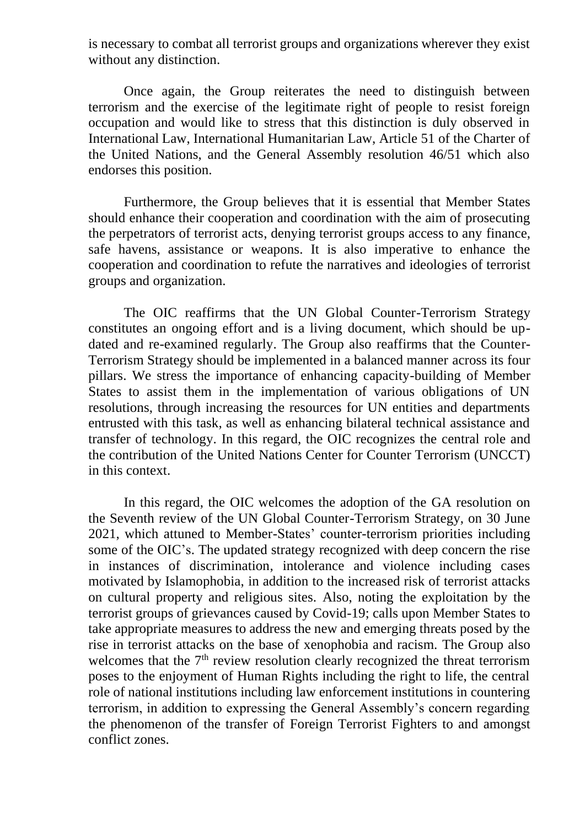is necessary to combat all terrorist groups and organizations wherever they exist without any distinction.

Once again, the Group reiterates the need to distinguish between terrorism and the exercise of the legitimate right of people to resist foreign occupation and would like to stress that this distinction is duly observed in International Law, International Humanitarian Law, Article 51 of the Charter of the United Nations, and the General Assembly resolution 46/51 which also endorses this position.

Furthermore, the Group believes that it is essential that Member States should enhance their cooperation and coordination with the aim of prosecuting the perpetrators of terrorist acts, denying terrorist groups access to any finance, safe havens, assistance or weapons. It is also imperative to enhance the cooperation and coordination to refute the narratives and ideologies of terrorist groups and organization.

The OIC reaffirms that the UN Global Counter-Terrorism Strategy constitutes an ongoing effort and is a living document, which should be updated and re-examined regularly. The Group also reaffirms that the Counter-Terrorism Strategy should be implemented in a balanced manner across its four pillars. We stress the importance of enhancing capacity-building of Member States to assist them in the implementation of various obligations of UN resolutions, through increasing the resources for UN entities and departments entrusted with this task, as well as enhancing bilateral technical assistance and transfer of technology. In this regard, the OIC recognizes the central role and the contribution of the United Nations Center for Counter Terrorism (UNCCT) in this context.

In this regard, the OIC welcomes the adoption of the GA resolution on the Seventh review of the UN Global Counter-Terrorism Strategy, on 30 June 2021, which attuned to Member-States' counter-terrorism priorities including some of the OIC's. The updated strategy recognized with deep concern the rise in instances of discrimination, intolerance and violence including cases motivated by Islamophobia, in addition to the increased risk of terrorist attacks on cultural property and religious sites. Also, noting the exploitation by the terrorist groups of grievances caused by Covid-19; calls upon Member States to take appropriate measures to address the new and emerging threats posed by the rise in terrorist attacks on the base of xenophobia and racism. The Group also welcomes that the  $7<sup>th</sup>$  review resolution clearly recognized the threat terrorism poses to the enjoyment of Human Rights including the right to life, the central role of national institutions including law enforcement institutions in countering terrorism, in addition to expressing the General Assembly's concern regarding the phenomenon of the transfer of Foreign Terrorist Fighters to and amongst conflict zones.